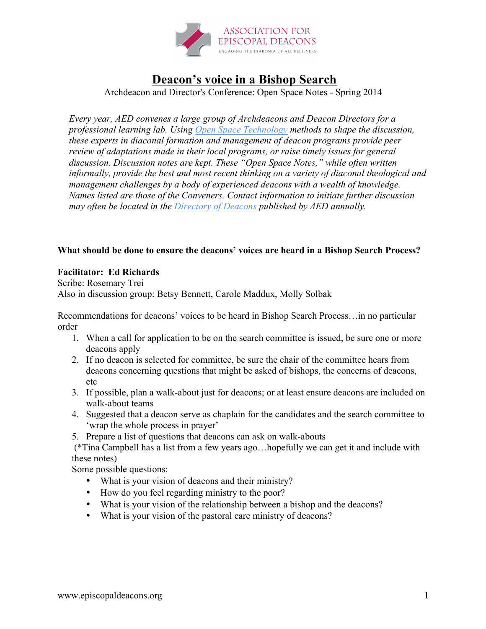

## **Deacon's voice in a Bishop Search**

Archdeacon and Director's Conference: Open Space Notes - Spring 2014

*Every year, AED convenes a large group of Archdeacons and Deacon Directors for a professional learning lab. Using Open Space Technology methods to shape the discussion, these experts in diaconal formation and management of deacon programs provide peer review of adaptations made in their local programs, or raise timely issues for general discussion. Discussion notes are kept. These "Open Space Notes," while often written informally, provide the best and most recent thinking on a variety of diaconal theological and management challenges by a body of experienced deacons with a wealth of knowledge. Names listed are those of the Conveners. Contact information to initiate further discussion may often be located in the Directory of Deacons published by AED annually.*

## **What should be done to ensure the deacons' voices are heard in a Bishop Search Process?**

## **Facilitator: Ed Richards**

Scribe: Rosemary Trei Also in discussion group: Betsy Bennett, Carole Maddux, Molly Solbak

Recommendations for deacons' voices to be heard in Bishop Search Process…in no particular order

- 1. When a call for application to be on the search committee is issued, be sure one or more deacons apply
- 2. If no deacon is selected for committee, be sure the chair of the committee hears from deacons concerning questions that might be asked of bishops, the concerns of deacons, etc
- 3. If possible, plan a walk-about just for deacons; or at least ensure deacons are included on walk-about teams
- 4. Suggested that a deacon serve as chaplain for the candidates and the search committee to 'wrap the whole process in prayer'
- 5. Prepare a list of questions that deacons can ask on walk-abouts

(\*Tina Campbell has a list from a few years ago…hopefully we can get it and include with these notes)

Some possible questions:

- What is your vision of deacons and their ministry?
- How do you feel regarding ministry to the poor?
- What is your vision of the relationship between a bishop and the deacons?
- What is your vision of the pastoral care ministry of deacons?